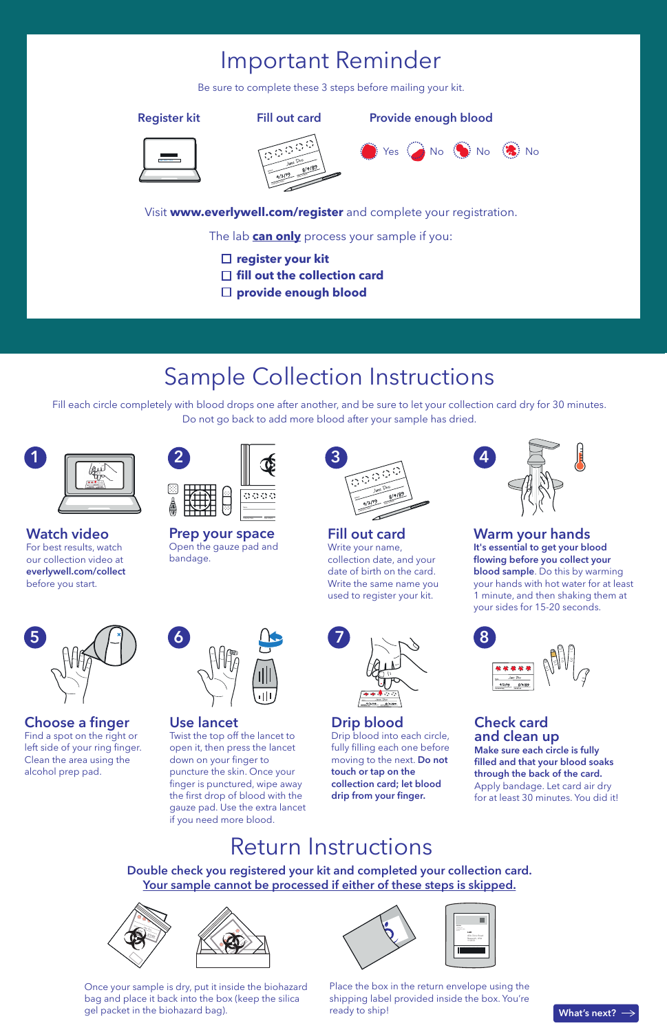### Important Reminder

Be sure to complete these 3 steps before mailing your kit.

**Register kit Fill out card Provide enough blood**







Visit **www.everlywell.com/register** and complete your registration.

The lab **can only** process your sample if you:

- **register your kit**
- **□ fill out the collection card**
- **Surflexible Surflex** provide enough blood

### Sample Collection Instructions

Fill each circle completely with blood drops one after another, and be sure to let your collection card dry for 30 minutes. Do not go back to add more blood after your sample has dried.



**Watch video** For best results, watch our collection video at **everlywell.com/collect** before you start.



**Choose a finger** Find a spot on the right or left side of your ring finger. Clean the area using the alcohol prep pad.



Open the gauze pad and bandage.

**Use lancet**

**6**

Twist the top off the lancet to open it, then press the lancet down on your finger to puncture the skin. Once your finger is punctured, wipe away the first drop of blood with the gauze pad. Use the extra lancet if you need more blood.



**Prep your space**



**Fill out card** Write your name, collection date, and your date of birth on the card. Write the same name you used to register your kit.

**Drip blood**

Drip blood into each circle, fully filling each one before moving to the next. **Do not touch or tap on the collection card; let blood**  drip from your finger.



**Warm your hands It's essential to get your blood**  flowing before you collect your **blood sample**. Do this by warming your hands with hot water for at least 1 minute, and then shaking them at your sides for 15-20 seconds.



**Check card and clean up Make sure each circle is fully**  filled and that your blood soaks **through the back of the card.**  Apply bandage. Let card air dry for at least 30 minutes. You did it!

### Return Instructions

**Double check you registered your kit and completed your collection card. Your sample cannot be processed if either of these steps is skipped.**





Once your sample is dry, put it inside the biohazard bag and place it back into the box (keep the silica gel packet in the biohazard bag).

|  | <b>HARM</b><br>$\frac{u\cos\theta}{\cos\theta} = 0.01$ | LAB<br>454 Clinic Road<br>Research, USA<br>112222 |
|--|--------------------------------------------------------|---------------------------------------------------|
|  |                                                        |                                                   |
|  |                                                        |                                                   |

Place the box in the return envelope using the shipping label provided inside the box. You're ready to ship!